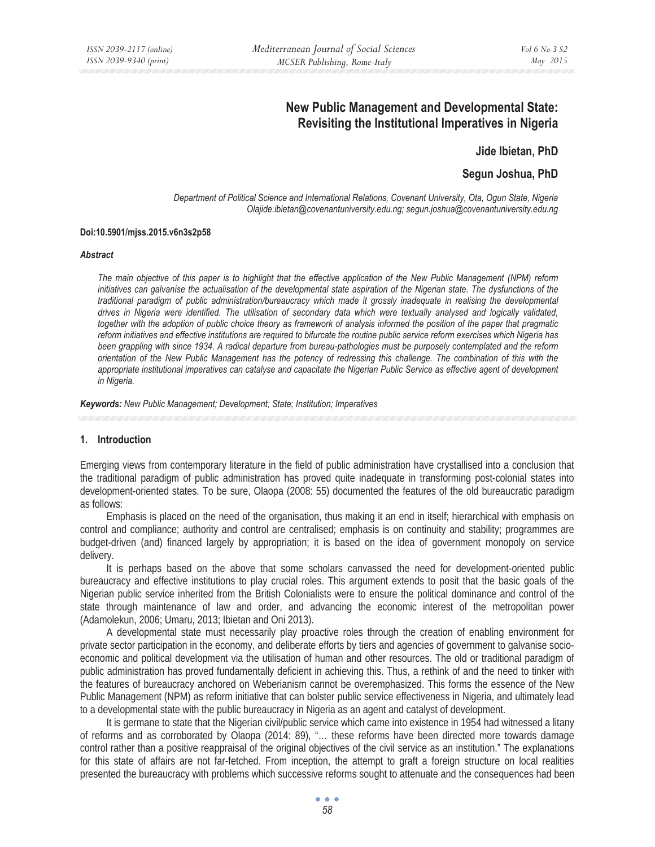# **New Public Management and Developmental State: Revisiting the Institutional Imperatives in Nigeria**

**Jide Ibietan, PhD** 

# **Segun Joshua, PhD**

*Department of Political Science and International Relations, Covenant University, Ota, Ogun State, Nigeria Olajide.ibietan@covenantuniversity.edu.ng; segun.joshua@covenantuniversity.edu.ng* 

#### **Doi:10.5901/mjss.2015.v6n3s2p58**

#### *Abstract*

*The main objective of this paper is to highlight that the effective application of the New Public Management (NPM) reform initiatives can galvanise the actualisation of the developmental state aspiration of the Nigerian state. The dysfunctions of the* traditional paradigm of public administration/bureaucracy which made it grossly inadequate in realising the developmental *drives in Nigeria were identified. The utilisation of secondary data which were textually analysed and logically validated, together with the adoption of public choice theory as framework of analysis informed the position of the paper that pragmatic reform initiatives and effective institutions are required to bifurcate the routine public service reform exercises which Nigeria has been grappling with since 1934. A radical departure from bureau-pathologies must be purposely contemplated and the reform orientation of the New Public Management has the potency of redressing this challenge. The combination of this with the appropriate institutional imperatives can catalyse and capacitate the Nigerian Public Service as effective agent of development in Nigeria.* 

*Keywords: New Public Management; Development; State; Institution; Imperatives*

# **1. Introduction**

Emerging views from contemporary literature in the field of public administration have crystallised into a conclusion that the traditional paradigm of public administration has proved quite inadequate in transforming post-colonial states into development-oriented states. To be sure, Olaopa (2008: 55) documented the features of the old bureaucratic paradigm as follows:

Emphasis is placed on the need of the organisation, thus making it an end in itself; hierarchical with emphasis on control and compliance; authority and control are centralised; emphasis is on continuity and stability; programmes are budget-driven (and) financed largely by appropriation; it is based on the idea of government monopoly on service delivery.

It is perhaps based on the above that some scholars canvassed the need for development-oriented public bureaucracy and effective institutions to play crucial roles. This argument extends to posit that the basic goals of the Nigerian public service inherited from the British Colonialists were to ensure the political dominance and control of the state through maintenance of law and order, and advancing the economic interest of the metropolitan power (Adamolekun, 2006; Umaru, 2013; Ibietan and Oni 2013).

A developmental state must necessarily play proactive roles through the creation of enabling environment for private sector participation in the economy, and deliberate efforts by tiers and agencies of government to galvanise socioeconomic and political development via the utilisation of human and other resources. The old or traditional paradigm of public administration has proved fundamentally deficient in achieving this. Thus, a rethink of and the need to tinker with the features of bureaucracy anchored on Weberianism cannot be overemphasized. This forms the essence of the New Public Management (NPM) as reform initiative that can bolster public service effectiveness in Nigeria, and ultimately lead to a developmental state with the public bureaucracy in Nigeria as an agent and catalyst of development.

It is germane to state that the Nigerian civil/public service which came into existence in 1954 had witnessed a litany of reforms and as corroborated by Olaopa (2014: 89), "… these reforms have been directed more towards damage control rather than a positive reappraisal of the original objectives of the civil service as an institution." The explanations for this state of affairs are not far-fetched. From inception, the attempt to graft a foreign structure on local realities presented the bureaucracy with problems which successive reforms sought to attenuate and the consequences had been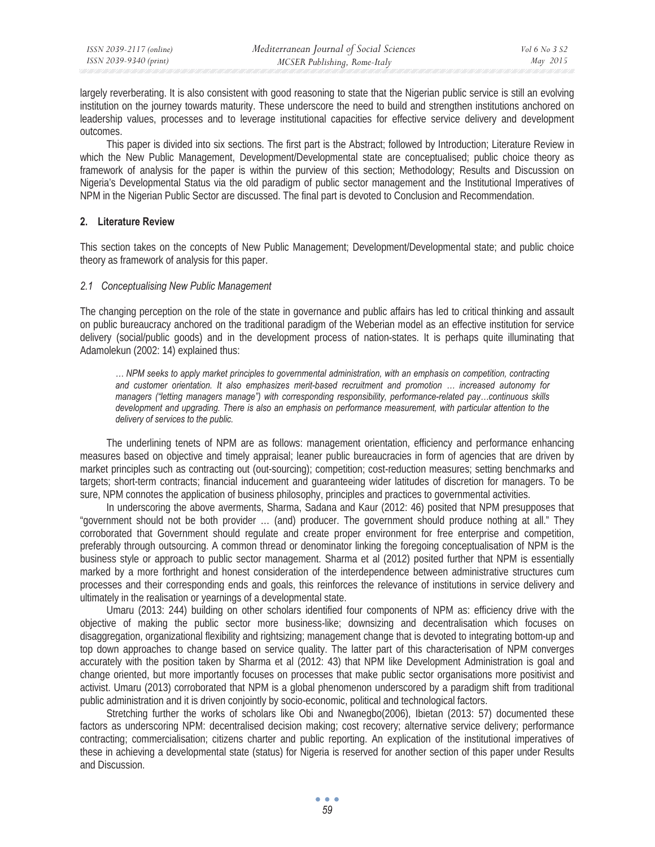largely reverberating. It is also consistent with good reasoning to state that the Nigerian public service is still an evolving institution on the journey towards maturity. These underscore the need to build and strengthen institutions anchored on leadership values, processes and to leverage institutional capacities for effective service delivery and development outcomes.

This paper is divided into six sections. The first part is the Abstract; followed by Introduction; Literature Review in which the New Public Management, Development/Developmental state are conceptualised; public choice theory as framework of analysis for the paper is within the purview of this section; Methodology; Results and Discussion on Nigeria's Developmental Status via the old paradigm of public sector management and the Institutional Imperatives of NPM in the Nigerian Public Sector are discussed. The final part is devoted to Conclusion and Recommendation.

# **2. Literature Review**

This section takes on the concepts of New Public Management; Development/Developmental state; and public choice theory as framework of analysis for this paper.

# *2.1 Conceptualising New Public Management*

The changing perception on the role of the state in governance and public affairs has led to critical thinking and assault on public bureaucracy anchored on the traditional paradigm of the Weberian model as an effective institution for service delivery (social/public goods) and in the development process of nation-states. It is perhaps quite illuminating that Adamolekun (2002: 14) explained thus:

*… NPM seeks to apply market principles to governmental administration, with an emphasis on competition, contracting and customer orientation. It also emphasizes merit-based recruitment and promotion … increased autonomy for managers ("letting managers manage") with corresponding responsibility, performance-related pay…continuous skills development and upgrading. There is also an emphasis on performance measurement, with particular attention to the delivery of services to the public.* 

The underlining tenets of NPM are as follows: management orientation, efficiency and performance enhancing measures based on objective and timely appraisal; leaner public bureaucracies in form of agencies that are driven by market principles such as contracting out (out-sourcing); competition; cost-reduction measures; setting benchmarks and targets; short-term contracts; financial inducement and guaranteeing wider latitudes of discretion for managers. To be sure, NPM connotes the application of business philosophy, principles and practices to governmental activities.

In underscoring the above averments, Sharma, Sadana and Kaur (2012: 46) posited that NPM presupposes that "government should not be both provider … (and) producer. The government should produce nothing at all." They corroborated that Government should regulate and create proper environment for free enterprise and competition, preferably through outsourcing. A common thread or denominator linking the foregoing conceptualisation of NPM is the business style or approach to public sector management. Sharma et al (2012) posited further that NPM is essentially marked by a more forthright and honest consideration of the interdependence between administrative structures cum processes and their corresponding ends and goals, this reinforces the relevance of institutions in service delivery and ultimately in the realisation or yearnings of a developmental state.

Umaru (2013: 244) building on other scholars identified four components of NPM as: efficiency drive with the objective of making the public sector more business-like; downsizing and decentralisation which focuses on disaggregation, organizational flexibility and rightsizing; management change that is devoted to integrating bottom-up and top down approaches to change based on service quality. The latter part of this characterisation of NPM converges accurately with the position taken by Sharma et al (2012: 43) that NPM like Development Administration is goal and change oriented, but more importantly focuses on processes that make public sector organisations more positivist and activist. Umaru (2013) corroborated that NPM is a global phenomenon underscored by a paradigm shift from traditional public administration and it is driven conjointly by socio-economic, political and technological factors.

Stretching further the works of scholars like Obi and Nwanegbo(2006), Ibietan (2013: 57) documented these factors as underscoring NPM: decentralised decision making; cost recovery; alternative service delivery; performance contracting; commercialisation; citizens charter and public reporting. An explication of the institutional imperatives of these in achieving a developmental state (status) for Nigeria is reserved for another section of this paper under Results and Discussion.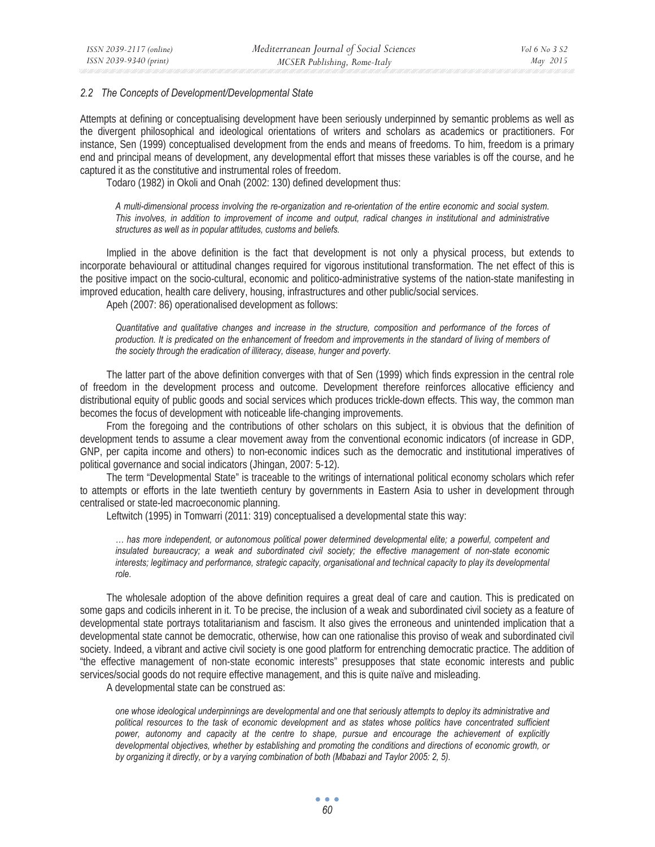#### *2.2 The Concepts of Development/Developmental State*

Attempts at defining or conceptualising development have been seriously underpinned by semantic problems as well as the divergent philosophical and ideological orientations of writers and scholars as academics or practitioners. For instance, Sen (1999) conceptualised development from the ends and means of freedoms. To him, freedom is a primary end and principal means of development, any developmental effort that misses these variables is off the course, and he captured it as the constitutive and instrumental roles of freedom.

Todaro (1982) in Okoli and Onah (2002: 130) defined development thus:

*A multi-dimensional process involving the re-organization and re-orientation of the entire economic and social system. This involves, in addition to improvement of income and output, radical changes in institutional and administrative structures as well as in popular attitudes, customs and beliefs.* 

Implied in the above definition is the fact that development is not only a physical process, but extends to incorporate behavioural or attitudinal changes required for vigorous institutional transformation. The net effect of this is the positive impact on the socio-cultural, economic and politico-administrative systems of the nation-state manifesting in improved education, health care delivery, housing, infrastructures and other public/social services.

Apeh (2007: 86) operationalised development as follows:

*Quantitative and qualitative changes and increase in the structure, composition and performance of the forces of production. It is predicated on the enhancement of freedom and improvements in the standard of living of members of the society through the eradication of illiteracy, disease, hunger and poverty.* 

The latter part of the above definition converges with that of Sen (1999) which finds expression in the central role of freedom in the development process and outcome. Development therefore reinforces allocative efficiency and distributional equity of public goods and social services which produces trickle-down effects. This way, the common man becomes the focus of development with noticeable life-changing improvements.

From the foregoing and the contributions of other scholars on this subject, it is obvious that the definition of development tends to assume a clear movement away from the conventional economic indicators (of increase in GDP, GNP, per capita income and others) to non-economic indices such as the democratic and institutional imperatives of political governance and social indicators (Jhingan, 2007: 5-12).

The term "Developmental State" is traceable to the writings of international political economy scholars which refer to attempts or efforts in the late twentieth century by governments in Eastern Asia to usher in development through centralised or state-led macroeconomic planning.

Leftwitch (1995) in Tomwarri (2011: 319) conceptualised a developmental state this way:

*… has more independent, or autonomous political power determined developmental elite; a powerful, competent and insulated bureaucracy; a weak and subordinated civil society; the effective management of non-state economic*  interests; legitimacy and performance, strategic capacity, organisational and technical capacity to play its developmental *role.* 

The wholesale adoption of the above definition requires a great deal of care and caution. This is predicated on some gaps and codicils inherent in it. To be precise, the inclusion of a weak and subordinated civil society as a feature of developmental state portrays totalitarianism and fascism. It also gives the erroneous and unintended implication that a developmental state cannot be democratic, otherwise, how can one rationalise this proviso of weak and subordinated civil society. Indeed, a vibrant and active civil society is one good platform for entrenching democratic practice. The addition of "the effective management of non-state economic interests" presupposes that state economic interests and public services/social goods do not require effective management, and this is quite naïve and misleading.

A developmental state can be construed as:

*one whose ideological underpinnings are developmental and one that seriously attempts to deploy its administrative and political resources to the task of economic development and as states whose politics have concentrated sufficient power, autonomy and capacity at the centre to shape, pursue and encourage the achievement of explicitly developmental objectives, whether by establishing and promoting the conditions and directions of economic growth, or by organizing it directly, or by a varying combination of both (Mbabazi and Taylor 2005: 2, 5).*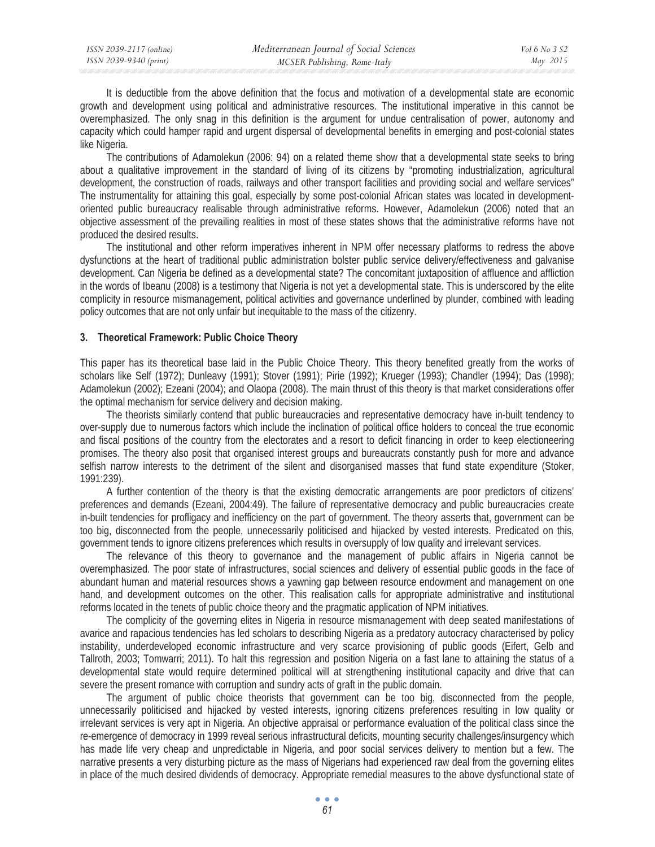It is deductible from the above definition that the focus and motivation of a developmental state are economic growth and development using political and administrative resources. The institutional imperative in this cannot be overemphasized. The only snag in this definition is the argument for undue centralisation of power, autonomy and capacity which could hamper rapid and urgent dispersal of developmental benefits in emerging and post-colonial states like Nigeria.

The contributions of Adamolekun (2006: 94) on a related theme show that a developmental state seeks to bring about a qualitative improvement in the standard of living of its citizens by "promoting industrialization, agricultural development, the construction of roads, railways and other transport facilities and providing social and welfare services" The instrumentality for attaining this goal, especially by some post-colonial African states was located in developmentoriented public bureaucracy realisable through administrative reforms. However, Adamolekun (2006) noted that an objective assessment of the prevailing realities in most of these states shows that the administrative reforms have not produced the desired results.

The institutional and other reform imperatives inherent in NPM offer necessary platforms to redress the above dysfunctions at the heart of traditional public administration bolster public service delivery/effectiveness and galvanise development. Can Nigeria be defined as a developmental state? The concomitant juxtaposition of affluence and affliction in the words of Ibeanu (2008) is a testimony that Nigeria is not yet a developmental state. This is underscored by the elite complicity in resource mismanagement, political activities and governance underlined by plunder, combined with leading policy outcomes that are not only unfair but inequitable to the mass of the citizenry.

#### **3. Theoretical Framework: Public Choice Theory**

This paper has its theoretical base laid in the Public Choice Theory. This theory benefited greatly from the works of scholars like Self (1972); Dunleavy (1991); Stover (1991); Pirie (1992); Krueger (1993); Chandler (1994); Das (1998); Adamolekun (2002); Ezeani (2004); and Olaopa (2008). The main thrust of this theory is that market considerations offer the optimal mechanism for service delivery and decision making.

The theorists similarly contend that public bureaucracies and representative democracy have in-built tendency to over-supply due to numerous factors which include the inclination of political office holders to conceal the true economic and fiscal positions of the country from the electorates and a resort to deficit financing in order to keep electioneering promises. The theory also posit that organised interest groups and bureaucrats constantly push for more and advance selfish narrow interests to the detriment of the silent and disorganised masses that fund state expenditure (Stoker, 1991:239).

A further contention of the theory is that the existing democratic arrangements are poor predictors of citizens' preferences and demands (Ezeani, 2004:49). The failure of representative democracy and public bureaucracies create in-built tendencies for profligacy and inefficiency on the part of government. The theory asserts that, government can be too big, disconnected from the people, unnecessarily politicised and hijacked by vested interests. Predicated on this, government tends to ignore citizens preferences which results in oversupply of low quality and irrelevant services.

The relevance of this theory to governance and the management of public affairs in Nigeria cannot be overemphasized. The poor state of infrastructures, social sciences and delivery of essential public goods in the face of abundant human and material resources shows a yawning gap between resource endowment and management on one hand, and development outcomes on the other. This realisation calls for appropriate administrative and institutional reforms located in the tenets of public choice theory and the pragmatic application of NPM initiatives.

The complicity of the governing elites in Nigeria in resource mismanagement with deep seated manifestations of avarice and rapacious tendencies has led scholars to describing Nigeria as a predatory autocracy characterised by policy instability, underdeveloped economic infrastructure and very scarce provisioning of public goods (Eifert, Gelb and Tallroth, 2003; Tomwarri; 2011). To halt this regression and position Nigeria on a fast lane to attaining the status of a developmental state would require determined political will at strengthening institutional capacity and drive that can severe the present romance with corruption and sundry acts of graft in the public domain.

The argument of public choice theorists that government can be too big, disconnected from the people, unnecessarily politicised and hijacked by vested interests, ignoring citizens preferences resulting in low quality or irrelevant services is very apt in Nigeria. An objective appraisal or performance evaluation of the political class since the re-emergence of democracy in 1999 reveal serious infrastructural deficits, mounting security challenges/insurgency which has made life very cheap and unpredictable in Nigeria, and poor social services delivery to mention but a few. The narrative presents a very disturbing picture as the mass of Nigerians had experienced raw deal from the governing elites in place of the much desired dividends of democracy. Appropriate remedial measures to the above dysfunctional state of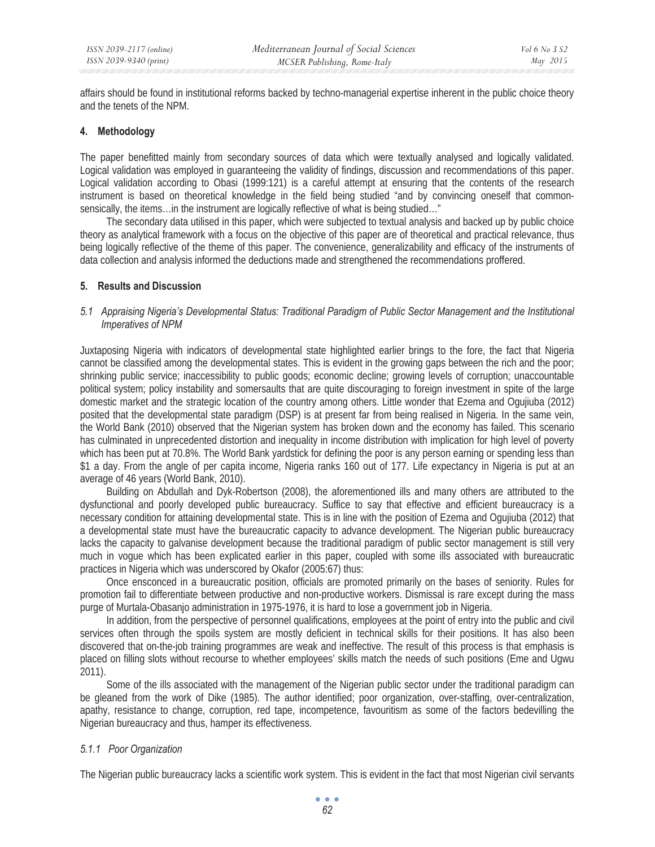affairs should be found in institutional reforms backed by techno-managerial expertise inherent in the public choice theory and the tenets of the NPM.

# **4. Methodology**

The paper benefitted mainly from secondary sources of data which were textually analysed and logically validated. Logical validation was employed in guaranteeing the validity of findings, discussion and recommendations of this paper. Logical validation according to Obasi (1999:121) is a careful attempt at ensuring that the contents of the research instrument is based on theoretical knowledge in the field being studied "and by convincing oneself that commonsensically, the items...in the instrument are logically reflective of what is being studied..."

The secondary data utilised in this paper, which were subjected to textual analysis and backed up by public choice theory as analytical framework with a focus on the objective of this paper are of theoretical and practical relevance, thus being logically reflective of the theme of this paper. The convenience, generalizability and efficacy of the instruments of data collection and analysis informed the deductions made and strengthened the recommendations proffered.

# **5. Results and Discussion**

# *5.1 Appraising Nigeria's Developmental Status: Traditional Paradigm of Public Sector Management and the Institutional Imperatives of NPM*

Juxtaposing Nigeria with indicators of developmental state highlighted earlier brings to the fore, the fact that Nigeria cannot be classified among the developmental states. This is evident in the growing gaps between the rich and the poor; shrinking public service; inaccessibility to public goods; economic decline; growing levels of corruption; unaccountable political system; policy instability and somersaults that are quite discouraging to foreign investment in spite of the large domestic market and the strategic location of the country among others. Little wonder that Ezema and Ogujiuba (2012) posited that the developmental state paradigm (DSP) is at present far from being realised in Nigeria. In the same vein, the World Bank (2010) observed that the Nigerian system has broken down and the economy has failed. This scenario has culminated in unprecedented distortion and inequality in income distribution with implication for high level of poverty which has been put at 70.8%. The World Bank yardstick for defining the poor is any person earning or spending less than \$1 a day. From the angle of per capita income, Nigeria ranks 160 out of 177. Life expectancy in Nigeria is put at an average of 46 years (World Bank, 2010).

Building on Abdullah and Dyk-Robertson (2008), the aforementioned ills and many others are attributed to the dysfunctional and poorly developed public bureaucracy. Suffice to say that effective and efficient bureaucracy is a necessary condition for attaining developmental state. This is in line with the position of Ezema and Ogujiuba (2012) that a developmental state must have the bureaucratic capacity to advance development. The Nigerian public bureaucracy lacks the capacity to galvanise development because the traditional paradigm of public sector management is still very much in vogue which has been explicated earlier in this paper, coupled with some ills associated with bureaucratic practices in Nigeria which was underscored by Okafor (2005:67) thus:

Once ensconced in a bureaucratic position, officials are promoted primarily on the bases of seniority. Rules for promotion fail to differentiate between productive and non-productive workers. Dismissal is rare except during the mass purge of Murtala-Obasanjo administration in 1975-1976, it is hard to lose a government job in Nigeria.

In addition, from the perspective of personnel qualifications, employees at the point of entry into the public and civil services often through the spoils system are mostly deficient in technical skills for their positions. It has also been discovered that on-the-job training programmes are weak and ineffective. The result of this process is that emphasis is placed on filling slots without recourse to whether employees' skills match the needs of such positions (Eme and Ugwu 2011).

Some of the ills associated with the management of the Nigerian public sector under the traditional paradigm can be gleaned from the work of Dike (1985). The author identified; poor organization, over-staffing, over-centralization, apathy, resistance to change, corruption, red tape, incompetence, favouritism as some of the factors bedevilling the Nigerian bureaucracy and thus, hamper its effectiveness.

# *5.1.1 Poor Organization*

The Nigerian public bureaucracy lacks a scientific work system. This is evident in the fact that most Nigerian civil servants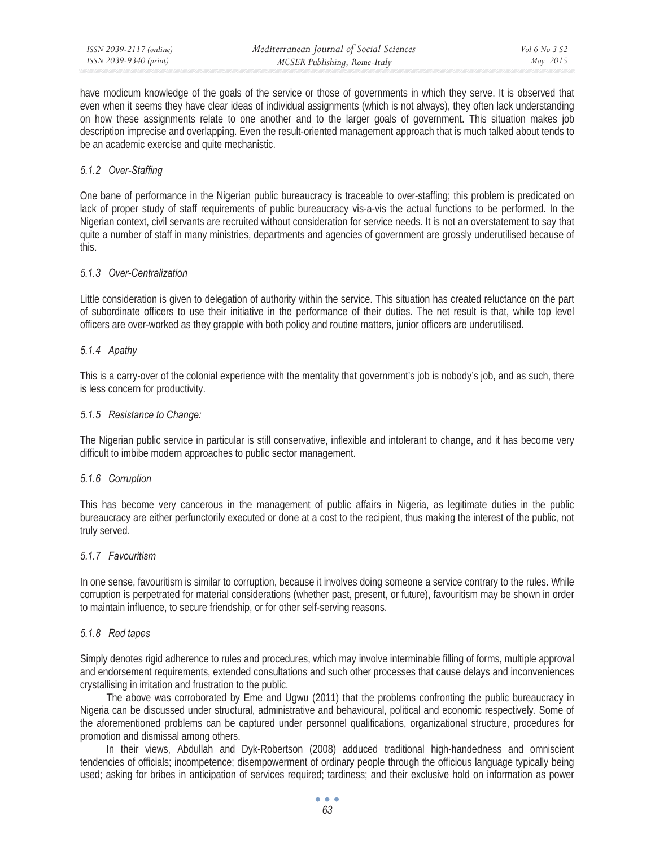have modicum knowledge of the goals of the service or those of governments in which they serve. It is observed that even when it seems they have clear ideas of individual assignments (which is not always), they often lack understanding on how these assignments relate to one another and to the larger goals of government. This situation makes job description imprecise and overlapping. Even the result-oriented management approach that is much talked about tends to be an academic exercise and quite mechanistic.

# *5.1.2 Over-Staffing*

One bane of performance in the Nigerian public bureaucracy is traceable to over-staffing; this problem is predicated on lack of proper study of staff requirements of public bureaucracy vis-a-vis the actual functions to be performed. In the Nigerian context, civil servants are recruited without consideration for service needs. It is not an overstatement to say that quite a number of staff in many ministries, departments and agencies of government are grossly underutilised because of this.

# *5.1.3 Over-Centralization*

Little consideration is given to delegation of authority within the service. This situation has created reluctance on the part of subordinate officers to use their initiative in the performance of their duties. The net result is that, while top level officers are over-worked as they grapple with both policy and routine matters, junior officers are underutilised.

# *5.1.4 Apathy*

This is a carry-over of the colonial experience with the mentality that government's job is nobody's job, and as such, there is less concern for productivity.

# *5.1.5 Resistance to Change:*

The Nigerian public service in particular is still conservative, inflexible and intolerant to change, and it has become very difficult to imbibe modern approaches to public sector management.

# *5.1.6 Corruption*

This has become very cancerous in the management of public affairs in Nigeria, as legitimate duties in the public bureaucracy are either perfunctorily executed or done at a cost to the recipient, thus making the interest of the public, not truly served.

# *5.1.7 Favouritism*

In one sense, favouritism is similar to corruption, because it involves doing someone a service contrary to the rules. While corruption is perpetrated for material considerations (whether past, present, or future), favouritism may be shown in order to maintain influence, to secure friendship, or for other self-serving reasons.

# *5.1.8 Red tapes*

Simply denotes rigid adherence to rules and procedures, which may involve interminable filling of forms, multiple approval and endorsement requirements, extended consultations and such other processes that cause delays and inconveniences crystallising in irritation and frustration to the public.

The above was corroborated by Eme and Ugwu (2011) that the problems confronting the public bureaucracy in Nigeria can be discussed under structural, administrative and behavioural, political and economic respectively. Some of the aforementioned problems can be captured under personnel qualifications, organizational structure, procedures for promotion and dismissal among others.

In their views, Abdullah and Dyk-Robertson (2008) adduced traditional high-handedness and omniscient tendencies of officials; incompetence; disempowerment of ordinary people through the officious language typically being used; asking for bribes in anticipation of services required; tardiness; and their exclusive hold on information as power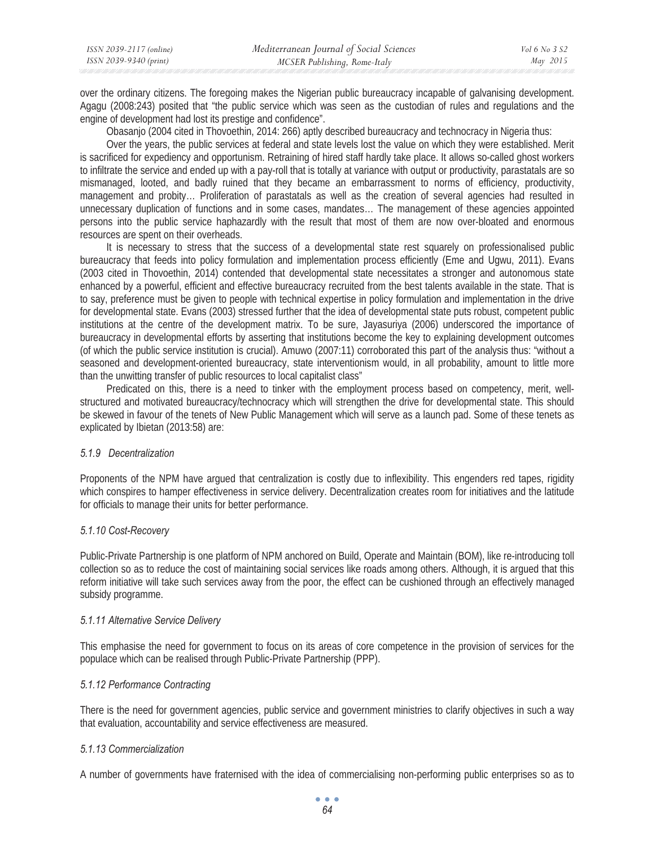| ISSN 2039-2117 (online) | Mediterranean Journal of Social Sciences | Vol 6 No 3 S2 |
|-------------------------|------------------------------------------|---------------|
| ISSN 2039-9340 (print)  | MCSER Publishing, Rome-Italy             | May 2015      |

over the ordinary citizens. The foregoing makes the Nigerian public bureaucracy incapable of galvanising development. Agagu (2008:243) posited that "the public service which was seen as the custodian of rules and regulations and the engine of development had lost its prestige and confidence".

Obasanjo (2004 cited in Thovoethin, 2014: 266) aptly described bureaucracy and technocracy in Nigeria thus:

Over the years, the public services at federal and state levels lost the value on which they were established. Merit is sacrificed for expediency and opportunism. Retraining of hired staff hardly take place. It allows so-called ghost workers to infiltrate the service and ended up with a pay-roll that is totally at variance with output or productivity, parastatals are so mismanaged, looted, and badly ruined that they became an embarrassment to norms of efficiency, productivity, management and probity… Proliferation of parastatals as well as the creation of several agencies had resulted in unnecessary duplication of functions and in some cases, mandates… The management of these agencies appointed persons into the public service haphazardly with the result that most of them are now over-bloated and enormous resources are spent on their overheads.

It is necessary to stress that the success of a developmental state rest squarely on professionalised public bureaucracy that feeds into policy formulation and implementation process efficiently (Eme and Ugwu, 2011). Evans (2003 cited in Thovoethin, 2014) contended that developmental state necessitates a stronger and autonomous state enhanced by a powerful, efficient and effective bureaucracy recruited from the best talents available in the state. That is to say, preference must be given to people with technical expertise in policy formulation and implementation in the drive for developmental state. Evans (2003) stressed further that the idea of developmental state puts robust, competent public institutions at the centre of the development matrix. To be sure, Jayasuriya (2006) underscored the importance of bureaucracy in developmental efforts by asserting that institutions become the key to explaining development outcomes (of which the public service institution is crucial). Amuwo (2007:11) corroborated this part of the analysis thus: "without a seasoned and development-oriented bureaucracy, state interventionism would, in all probability, amount to little more than the unwitting transfer of public resources to local capitalist class"

Predicated on this, there is a need to tinker with the employment process based on competency, merit, wellstructured and motivated bureaucracy/technocracy which will strengthen the drive for developmental state. This should be skewed in favour of the tenets of New Public Management which will serve as a launch pad. Some of these tenets as explicated by Ibietan (2013:58) are:

# *5.1.9 Decentralization*

Proponents of the NPM have argued that centralization is costly due to inflexibility. This engenders red tapes, rigidity which conspires to hamper effectiveness in service delivery. Decentralization creates room for initiatives and the latitude for officials to manage their units for better performance.

# *5.1.10 Cost-Recovery*

Public-Private Partnership is one platform of NPM anchored on Build, Operate and Maintain (BOM), like re-introducing toll collection so as to reduce the cost of maintaining social services like roads among others. Although, it is argued that this reform initiative will take such services away from the poor, the effect can be cushioned through an effectively managed subsidy programme.

#### *5.1.11 Alternative Service Delivery*

This emphasise the need for government to focus on its areas of core competence in the provision of services for the populace which can be realised through Public-Private Partnership (PPP).

# *5.1.12 Performance Contracting*

There is the need for government agencies, public service and government ministries to clarify objectives in such a way that evaluation, accountability and service effectiveness are measured.

### *5.1.13 Commercialization*

A number of governments have fraternised with the idea of commercialising non-performing public enterprises so as to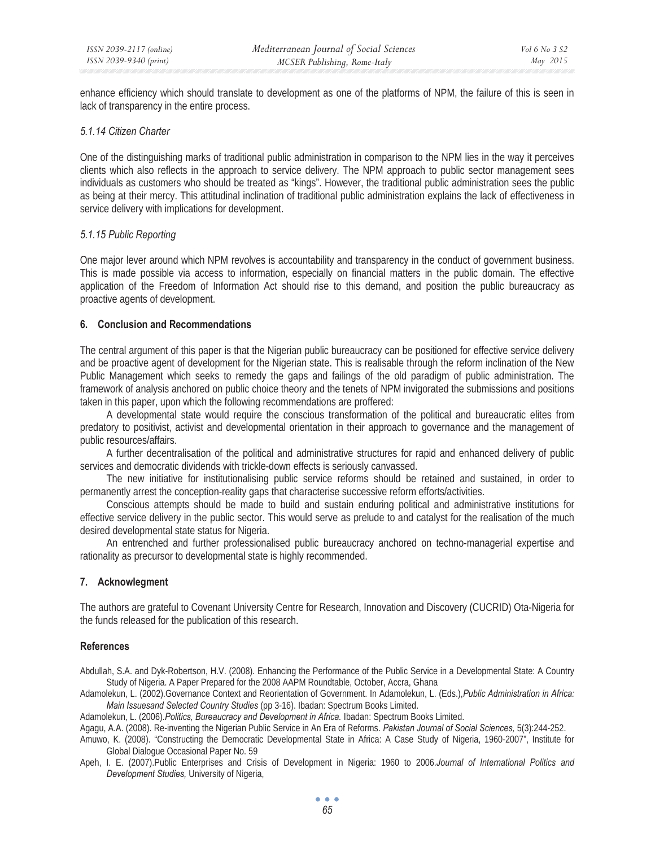enhance efficiency which should translate to development as one of the platforms of NPM, the failure of this is seen in lack of transparency in the entire process.

### *5.1.14 Citizen Charter*

One of the distinguishing marks of traditional public administration in comparison to the NPM lies in the way it perceives clients which also reflects in the approach to service delivery. The NPM approach to public sector management sees individuals as customers who should be treated as "kings". However, the traditional public administration sees the public as being at their mercy. This attitudinal inclination of traditional public administration explains the lack of effectiveness in service delivery with implications for development.

### *5.1.15 Public Reporting*

One major lever around which NPM revolves is accountability and transparency in the conduct of government business. This is made possible via access to information, especially on financial matters in the public domain. The effective application of the Freedom of Information Act should rise to this demand, and position the public bureaucracy as proactive agents of development.

# **6. Conclusion and Recommendations**

The central argument of this paper is that the Nigerian public bureaucracy can be positioned for effective service delivery and be proactive agent of development for the Nigerian state. This is realisable through the reform inclination of the New Public Management which seeks to remedy the gaps and failings of the old paradigm of public administration. The framework of analysis anchored on public choice theory and the tenets of NPM invigorated the submissions and positions taken in this paper, upon which the following recommendations are proffered:

A developmental state would require the conscious transformation of the political and bureaucratic elites from predatory to positivist, activist and developmental orientation in their approach to governance and the management of public resources/affairs.

A further decentralisation of the political and administrative structures for rapid and enhanced delivery of public services and democratic dividends with trickle-down effects is seriously canvassed.

The new initiative for institutionalising public service reforms should be retained and sustained, in order to permanently arrest the conception-reality gaps that characterise successive reform efforts/activities.

Conscious attempts should be made to build and sustain enduring political and administrative institutions for effective service delivery in the public sector. This would serve as prelude to and catalyst for the realisation of the much desired developmental state status for Nigeria.

An entrenched and further professionalised public bureaucracy anchored on techno-managerial expertise and rationality as precursor to developmental state is highly recommended.

# **7. Acknowlegment**

The authors are grateful to Covenant University Centre for Research, Innovation and Discovery (CUCRID) Ota-Nigeria for the funds released for the publication of this research.

#### **References**

Abdullah, S.A. and Dyk-Robertson, H.V. (2008). Enhancing the Performance of the Public Service in a Developmental State: A Country Study of Nigeria. A Paper Prepared for the 2008 AAPM Roundtable, October, Accra, Ghana

Adamolekun, L. (2002).Governance Context and Reorientation of Government. In Adamolekun, L. (Eds.),*Public Administration in Africa: Main Issuesand Selected Country Studies* (pp 3-16). Ibadan: Spectrum Books Limited.

Adamolekun, L. (2006).*Politics, Bureaucracy and Development in Africa.* Ibadan: Spectrum Books Limited.

Agagu, A.A. (2008). Re-inventing the Nigerian Public Service in An Era of Reforms. *Pakistan Journal of Social Sciences,* 5(3):244-252.

Amuwo, K. (2008). "Constructing the Democratic Developmental State in Africa: A Case Study of Nigeria, 1960-2007", Institute for Global Dialogue Occasional Paper No. 59

Apeh, I. E. (2007).Public Enterprises and Crisis of Development in Nigeria: 1960 to 2006.*Journal of International Politics and Development Studies,* University of Nigeria,